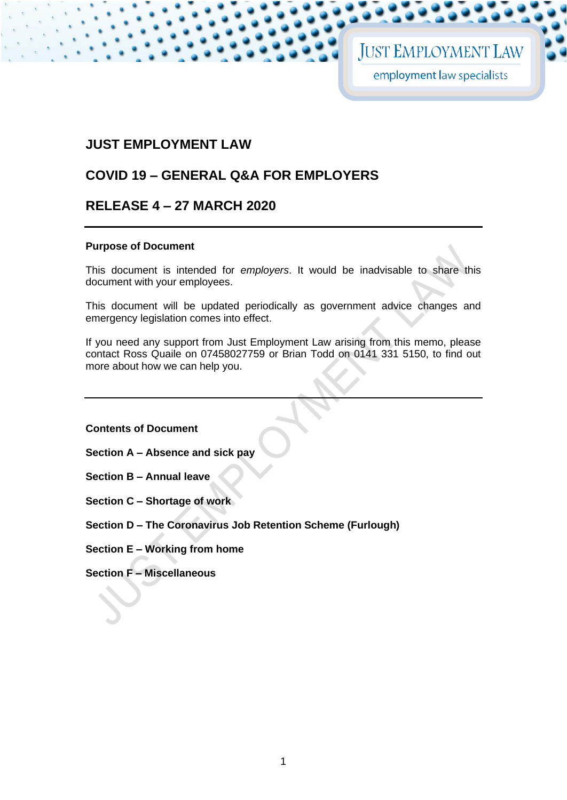## **JUST EMPLOYMENT LAW**

## **COVID 19 – GENERAL Q&A FOR EMPLOYERS**

## **RELEASE 4 – 27 MARCH 2020**

#### **Purpose of Document**

This document is intended for *employers*. It would be inadvisable to share this document with your employees.

This document will be updated periodically as government advice changes and emergency legislation comes into effect.

If you need any support from Just Employment Law arising from this memo, please contact Ross Quaile on 07458027759 or Brian Todd on 0141 331 5150, to find out more about how we can help you.

**Contents of Document**

**Section A – Absence and sick pay** 

- **Section B – Annual leave**
- **Section C – Shortage of work**

**Section D – The Coronavirus Job Retention Scheme (Furlough)** 

**Section E – Working from home**

**Section F – Miscellaneous**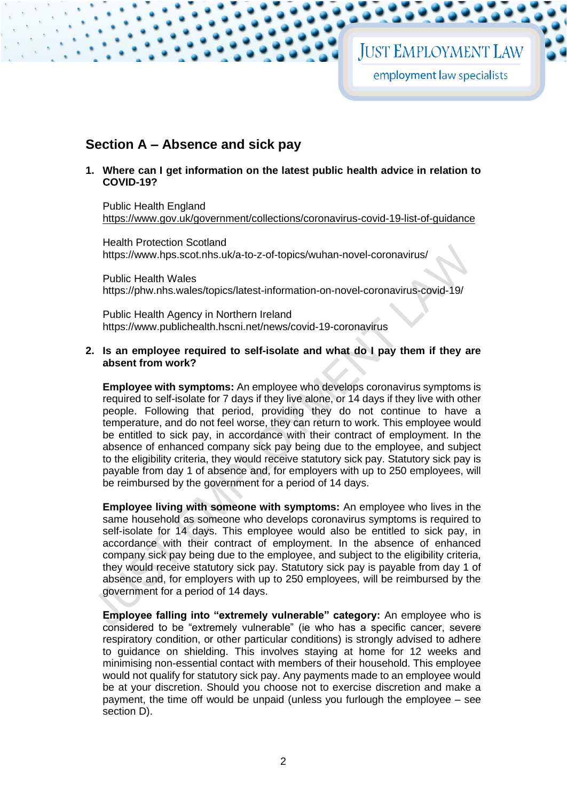## **Section A – Absence and sick pay**

**1. Where can I get information on the latest public health advice in relation to COVID-19?**

Public Health England <https://www.gov.uk/government/collections/coronavirus-covid-19-list-of-guidance>

Health Protection Scotland <https://www.hps.scot.nhs.uk/a-to-z-of-topics/wuhan-novel-coronavirus/>

Public Health Wales <https://phw.nhs.wales/topics/latest-information-on-novel-coronavirus-covid-19/>

Public Health Agency in Northern Ireland <https://www.publichealth.hscni.net/news/covid-19-coronavirus>

#### **2. Is an employee required to self-isolate and what do I pay them if they are absent from work?**

**Employee with symptoms:** An employee who develops coronavirus symptoms is required to self-isolate for 7 days if they live alone, or 14 days if they live with other people. Following that period, providing they do not continue to have a temperature, and do not feel worse, they can return to work. This employee would be entitled to sick pay, in accordance with their contract of employment. In the absence of enhanced company sick pay being due to the employee, and subject to the eligibility criteria, they would receive statutory sick pay. Statutory sick pay is payable from day 1 of absence and, for employers with up to 250 employees, will be reimbursed by the government for a period of 14 days.

**Employee living with someone with symptoms:** An employee who lives in the same household as someone who develops coronavirus symptoms is required to self-isolate for 14 days. This employee would also be entitled to sick pay, in accordance with their contract of employment. In the absence of enhanced company sick pay being due to the employee, and subject to the eligibility criteria, they would receive statutory sick pay. Statutory sick pay is payable from day 1 of absence and, for employers with up to 250 employees, will be reimbursed by the government for a period of 14 days.

**Employee falling into "extremely vulnerable" category:** An employee who is considered to be "extremely vulnerable" (ie who has a specific cancer, severe respiratory condition, or other particular conditions) is strongly advised to adhere to guidance on shielding. This involves staying at home for 12 weeks and minimising non-essential contact with members of their household. This employee would not qualify for statutory sick pay. Any payments made to an employee would be at your discretion. Should you choose not to exercise discretion and make a payment, the time off would be unpaid (unless you furlough the employee – see section D).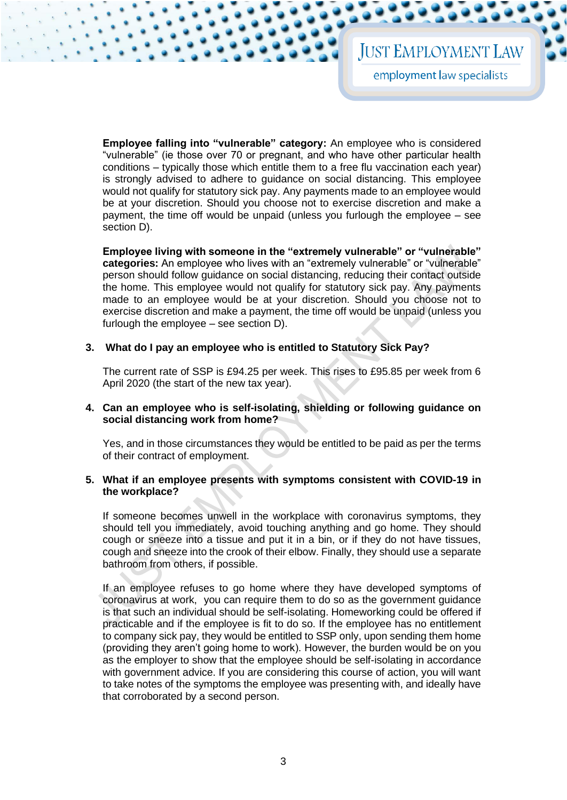## **JUST EMPLOYMENT LAW**

employment law specialists

**Employee falling into "vulnerable" category:** An employee who is considered "vulnerable" (ie those over 70 or pregnant, and who have other particular health conditions – typically those which entitle them to a free flu vaccination each year) is strongly advised to adhere to guidance on social distancing. This employee would not qualify for statutory sick pay. Any payments made to an employee would be at your discretion. Should you choose not to exercise discretion and make a payment, the time off would be unpaid (unless you furlough the employee – see section D).

**Employee living with someone in the "extremely vulnerable" or "vulnerable" categories:** An employee who lives with an "extremely vulnerable" or "vulnerable" person should follow guidance on social distancing, reducing their contact outside the home. This employee would not qualify for statutory sick pay. Any payments made to an employee would be at your discretion. Should you choose not to exercise discretion and make a payment, the time off would be unpaid (unless you furlough the employee – see section D).

#### **3. What do I pay an employee who is entitled to Statutory Sick Pay?**

The current rate of SSP is £94.25 per week. This rises to £95.85 per week from 6 April 2020 (the start of the new tax year).

**4. Can an employee who is self-isolating, shielding or following guidance on social distancing work from home?** 

Yes, and in those circumstances they would be entitled to be paid as per the terms of their contract of employment.

#### **5. What if an employee presents with symptoms consistent with COVID-19 in the workplace?**

If someone becomes unwell in the workplace with coronavirus symptoms, they should tell you immediately, avoid touching anything and go home. They should cough or sneeze into a tissue and put it in a bin, or if they do not have tissues, cough and sneeze into the crook of their elbow. Finally, they should use a separate bathroom from others, if possible.

If an employee refuses to go home where they have developed symptoms of coronavirus at work, you can require them to do so as the government guidance is that such an individual should be self-isolating. Homeworking could be offered if practicable and if the employee is fit to do so. If the employee has no entitlement to company sick pay, they would be entitled to SSP only, upon sending them home (providing they aren't going home to work). However, the burden would be on you as the employer to show that the employee should be self-isolating in accordance with government advice. If you are considering this course of action, you will want to take notes of the symptoms the employee was presenting with, and ideally have that corroborated by a second person.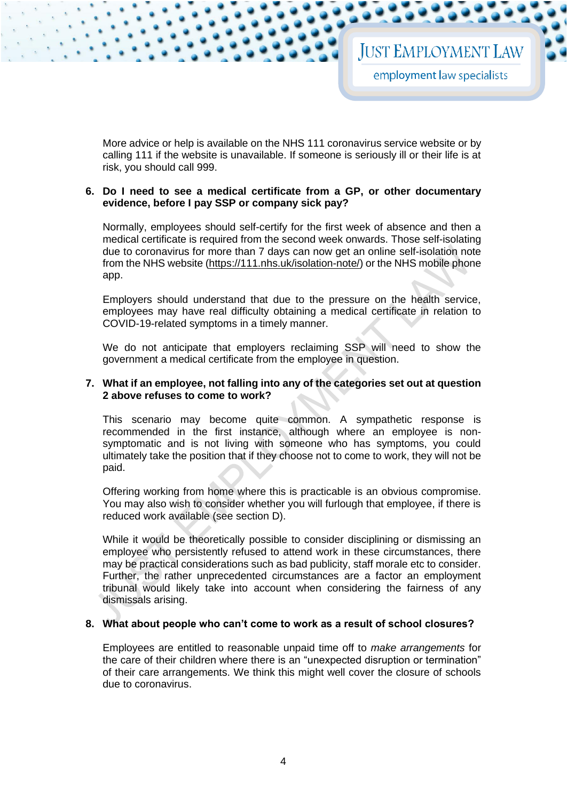More advice or help is available on the NHS 111 coronavirus service website or by calling 111 if the website is unavailable. If someone is seriously ill or their life is at risk, you should call 999.

#### **6. Do I need to see a medical certificate from a GP, or other documentary evidence, before I pay SSP or company sick pay?**

Normally, employees should self-certify for the first week of absence and then a medical certificate is required from the second week onwards. Those self-isolating due to coronavirus for more than 7 days can now get an online self-isolation note from the NHS website [\(https://111.nhs.uk/isolation-note/\)](https://111.nhs.uk/isolation-note/) or the NHS mobile phone app.

Employers should understand that due to the pressure on the health service, employees may have real difficulty obtaining a medical certificate in relation to COVID-19-related symptoms in a timely manner.

We do not anticipate that employers reclaiming SSP will need to show the government a medical certificate from the employee in question.

#### **7. What if an employee, not falling into any of the categories set out at question 2 above refuses to come to work?**

This scenario may become quite common. A sympathetic response is recommended in the first instance, although where an employee is nonsymptomatic and is not living with someone who has symptoms, you could ultimately take the position that if they choose not to come to work, they will not be paid.

Offering working from home where this is practicable is an obvious compromise. You may also wish to consider whether you will furlough that employee, if there is reduced work available (see section D).

While it would be theoretically possible to consider disciplining or dismissing an employee who persistently refused to attend work in these circumstances, there may be practical considerations such as bad publicity, staff morale etc to consider. Further, the rather unprecedented circumstances are a factor an employment tribunal would likely take into account when considering the fairness of any dismissals arising.

#### **8. What about people who can't come to work as a result of school closures?**

Employees are entitled to reasonable unpaid time off to *make arrangements* for the care of their children where there is an "unexpected disruption or termination" of their care arrangements. We think this might well cover the closure of schools due to coronavirus.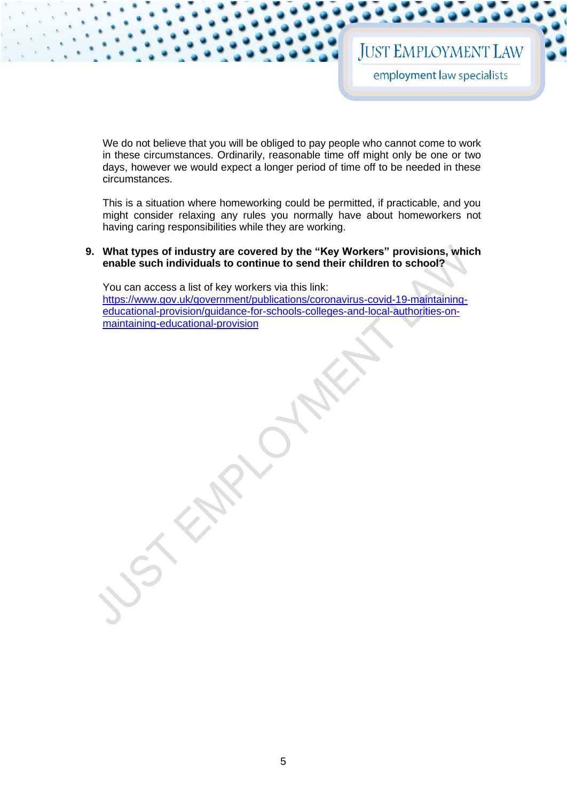We do not believe that you will be obliged to pay people who cannot come to work in these circumstances. Ordinarily, reasonable time off might only be one or two days, however we would expect a longer period of time off to be needed in these circumstances.

This is a situation where homeworking could be permitted, if practicable, and you might consider relaxing any rules you normally have about homeworkers not having caring responsibilities while they are working.

#### **9. What types of industry are covered by the "Key Workers" provisions, which enable such individuals to continue to send their children to school?**

You can access a list of key workers via this link: [https://www.gov.uk/government/publications/coronavirus-covid-19-maintaining](https://www.gov.uk/government/publications/coronavirus-covid-19-maintaining-educational-provision/guidance-for-schools-colleges-and-local-authorities-on-maintaining-educational-provision)[educational-provision/guidance-for-schools-colleges-and-local-authorities-on](https://www.gov.uk/government/publications/coronavirus-covid-19-maintaining-educational-provision/guidance-for-schools-colleges-and-local-authorities-on-maintaining-educational-provision)[maintaining-educational-provision](https://www.gov.uk/government/publications/coronavirus-covid-19-maintaining-educational-provision/guidance-for-schools-colleges-and-local-authorities-on-maintaining-educational-provision)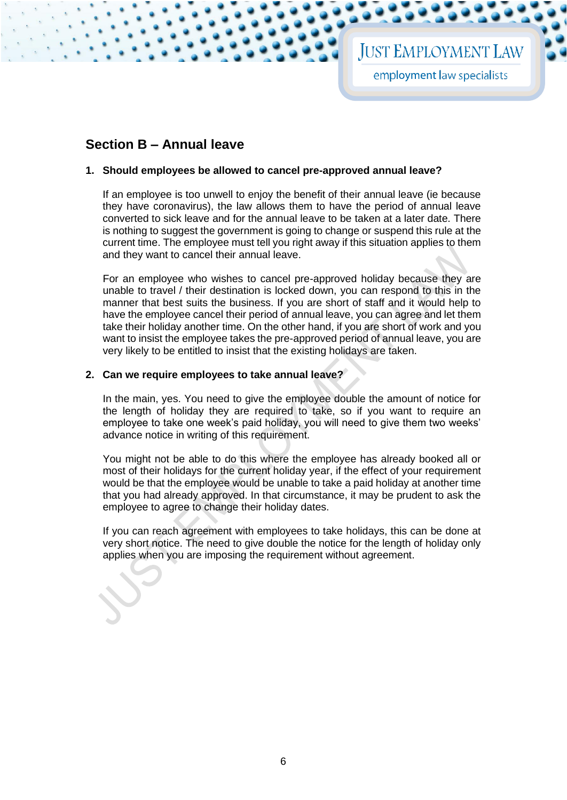### **Section B – Annual leave**

#### **1. Should employees be allowed to cancel pre-approved annual leave?**

If an employee is too unwell to enjoy the benefit of their annual leave (ie because they have coronavirus), the law allows them to have the period of annual leave converted to sick leave and for the annual leave to be taken at a later date. There is nothing to suggest the government is going to change or suspend this rule at the current time. The employee must tell you right away if this situation applies to them and they want to cancel their annual leave.

For an employee who wishes to cancel pre-approved holiday because they are unable to travel / their destination is locked down, you can respond to this in the manner that best suits the business. If you are short of staff and it would help to have the employee cancel their period of annual leave, you can agree and let them take their holiday another time. On the other hand, if you are short of work and you want to insist the employee takes the pre-approved period of annual leave, you are very likely to be entitled to insist that the existing holidays are taken.

#### **2. Can we require employees to take annual leave?**

In the main, yes. You need to give the employee double the amount of notice for the length of holiday they are required to take, so if you want to require an employee to take one week's paid holiday, you will need to give them two weeks' advance notice in writing of this requirement.

You might not be able to do this where the employee has already booked all or most of their holidays for the current holiday year, if the effect of your requirement would be that the employee would be unable to take a paid holiday at another time that you had already approved. In that circumstance, it may be prudent to ask the employee to agree to change their holiday dates.

If you can reach agreement with employees to take holidays, this can be done at very short notice. The need to give double the notice for the length of holiday only applies when you are imposing the requirement without agreement.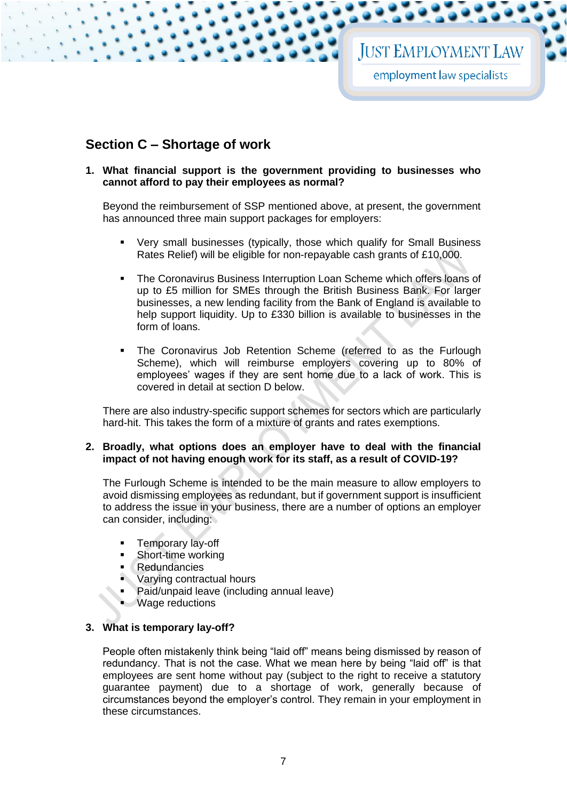### **Section C – Shortage of work**

#### **1. What financial support is the government providing to businesses who cannot afford to pay their employees as normal?**

Beyond the reimbursement of SSP mentioned above, at present, the government has announced three main support packages for employers:

- Very small businesses (typically, those which qualify for Small Business Rates Relief) will be eligible for non-repayable cash grants of £10,000.
- **The Coronavirus Business Interruption Loan Scheme which offers loans of** up to £5 million for SMEs through the British Business Bank. For larger businesses, a new lending facility from the Bank of England is available to help support liquidity. Up to £330 billion is available to businesses in the form of loans.
- The Coronavirus Job Retention Scheme (referred to as the Furlough Scheme), which will reimburse employers covering up to 80% of employees' wages if they are sent home due to a lack of work. This is covered in detail at section D below.

There are also industry-specific support schemes for sectors which are particularly hard-hit. This takes the form of a mixture of grants and rates exemptions.

#### **2. Broadly, what options does an employer have to deal with the financial impact of not having enough work for its staff, as a result of COVID-19?**

The Furlough Scheme is intended to be the main measure to allow employers to avoid dismissing employees as redundant, but if government support is insufficient to address the issue in your business, there are a number of options an employer can consider, including:

- Temporary lay-off
- Short-time working<br>■ Redundancies
- **Redundancies**
- Varying contractual hours
- Paid/unpaid leave (including annual leave)
- Wage reductions

#### **3. What is temporary lay-off?**

People often mistakenly think being "laid off" means being dismissed by reason of redundancy. That is not the case. What we mean here by being "laid off" is that employees are sent home without pay (subject to the right to receive a statutory guarantee payment) due to a shortage of work, generally because of circumstances beyond the employer's control. They remain in your employment in these circumstances.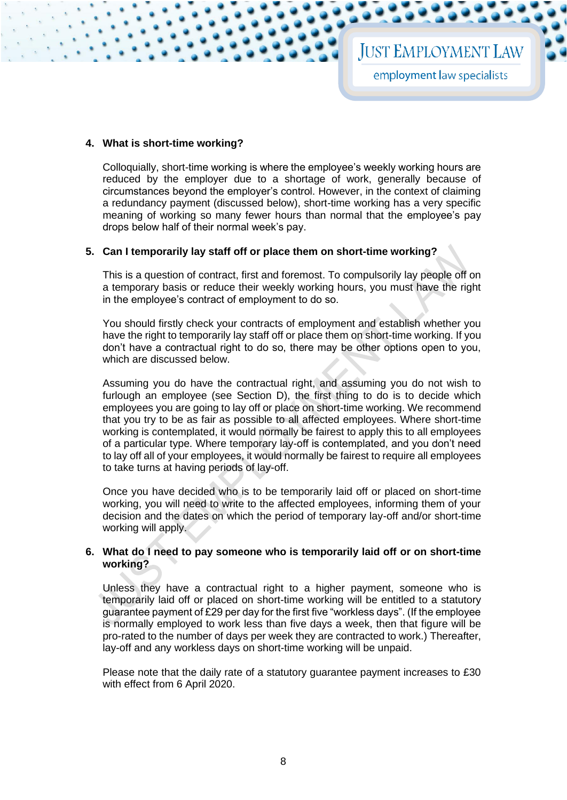#### **4. What is short-time working?**

Colloquially, short-time working is where the employee's weekly working hours are reduced by the employer due to a shortage of work, generally because of circumstances beyond the employer's control. However, in the context of claiming a redundancy payment (discussed below), short-time working has a very specific meaning of working so many fewer hours than normal that the employee's pay drops below half of their normal week's pay.

#### **5. Can I temporarily lay staff off or place them on short-time working?**

This is a question of contract, first and foremost. To compulsorily lay people off on a temporary basis or reduce their weekly working hours, you must have the right in the employee's contract of employment to do so.

You should firstly check your contracts of employment and establish whether you have the right to temporarily lay staff off or place them on short-time working. If you don't have a contractual right to do so, there may be other options open to you, which are discussed below.

Assuming you do have the contractual right, and assuming you do not wish to furlough an employee (see Section D), the first thing to do is to decide which employees you are going to lay off or place on short-time working. We recommend that you try to be as fair as possible to all affected employees. Where short-time working is contemplated, it would normally be fairest to apply this to all employees of a particular type. Where temporary lay-off is contemplated, and you don't need to lay off all of your employees, it would normally be fairest to require all employees to take turns at having periods of lay-off.

Once you have decided who is to be temporarily laid off or placed on short-time working, you will need to write to the affected employees, informing them of your decision and the dates on which the period of temporary lay-off and/or short-time working will apply.

#### **6. What do I need to pay someone who is temporarily laid off or on short-time working?**

Unless they have a contractual right to a higher payment, someone who is temporarily laid off or placed on short-time working will be entitled to a statutory guarantee payment of £29 per day for the first five "workless days". (If the employee is normally employed to work less than five days a week, then that figure will be pro-rated to the number of days per week they are contracted to work.) Thereafter, lay-off and any workless days on short-time working will be unpaid.

Please note that the daily rate of a statutory guarantee payment increases to £30 with effect from 6 April 2020.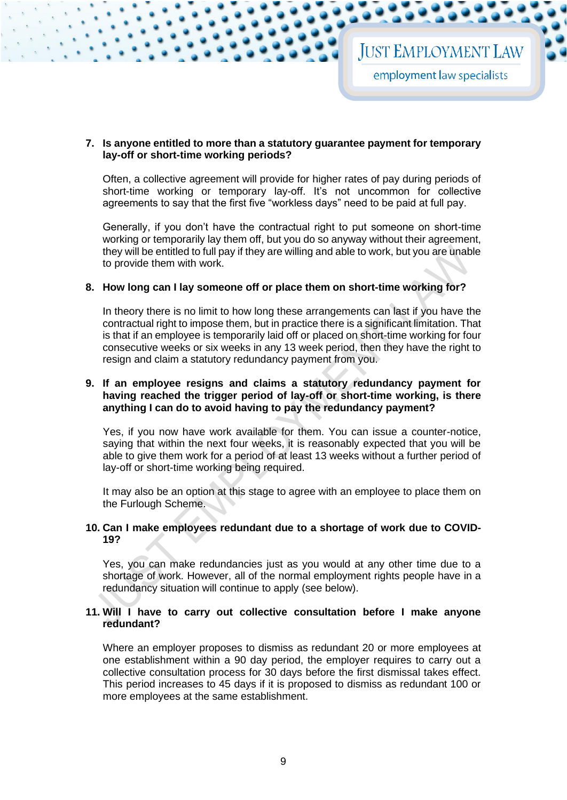#### **7. Is anyone entitled to more than a statutory guarantee payment for temporary lay-off or short-time working periods?**

Often, a collective agreement will provide for higher rates of pay during periods of short-time working or temporary lay-off. It's not uncommon for collective agreements to say that the first five "workless days" need to be paid at full pay.

Generally, if you don't have the contractual right to put someone on short-time working or temporarily lay them off, but you do so anyway without their agreement, they will be entitled to full pay if they are willing and able to work, but you are unable to provide them with work.

#### **8. How long can I lay someone off or place them on short-time working for?**

In theory there is no limit to how long these arrangements can last if you have the contractual right to impose them, but in practice there is a significant limitation. That is that if an employee is temporarily laid off or placed on short-time working for four consecutive weeks or six weeks in any 13 week period, then they have the right to resign and claim a statutory redundancy payment from you.

#### **9. If an employee resigns and claims a statutory redundancy payment for having reached the trigger period of lay-off or short-time working, is there anything I can do to avoid having to pay the redundancy payment?**

Yes, if you now have work available for them. You can issue a counter-notice, saying that within the next four weeks, it is reasonably expected that you will be able to give them work for a period of at least 13 weeks without a further period of lay-off or short-time working being required.

It may also be an option at this stage to agree with an employee to place them on the Furlough Scheme.

#### **10. Can I make employees redundant due to a shortage of work due to COVID-19?**

Yes, you can make redundancies just as you would at any other time due to a shortage of work. However, all of the normal employment rights people have in a redundancy situation will continue to apply (see below).

#### **11. Will I have to carry out collective consultation before I make anyone redundant?**

Where an employer proposes to dismiss as redundant 20 or more employees at one establishment within a 90 day period, the employer requires to carry out a collective consultation process for 30 days before the first dismissal takes effect. This period increases to 45 days if it is proposed to dismiss as redundant 100 or more employees at the same establishment.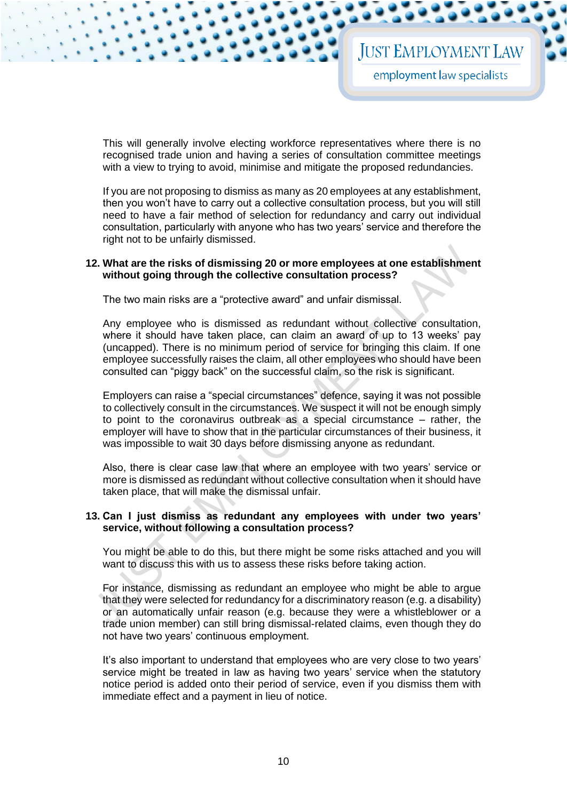# **JUST EMPLOYMENT LAW**

employment law specialists

This will generally involve electing workforce representatives where there is no recognised trade union and having a series of consultation committee meetings with a view to trying to avoid, minimise and mitigate the proposed redundancies.

If you are not proposing to dismiss as many as 20 employees at any establishment, then you won't have to carry out a collective consultation process, but you will still need to have a fair method of selection for redundancy and carry out individual consultation, particularly with anyone who has two years' service and therefore the right not to be unfairly dismissed.

#### **12. What are the risks of dismissing 20 or more employees at one establishment without going through the collective consultation process?**

The two main risks are a "protective award" and unfair dismissal.

Any employee who is dismissed as redundant without collective consultation, where it should have taken place, can claim an award of up to 13 weeks' pay (uncapped). There is no minimum period of service for bringing this claim. If one employee successfully raises the claim, all other employees who should have been consulted can "piggy back" on the successful claim, so the risk is significant.

Employers can raise a "special circumstances" defence, saying it was not possible to collectively consult in the circumstances. We suspect it will not be enough simply to point to the coronavirus outbreak as a special circumstance – rather, the employer will have to show that in the particular circumstances of their business, it was impossible to wait 30 days before dismissing anyone as redundant.

Also, there is clear case law that where an employee with two years' service or more is dismissed as redundant without collective consultation when it should have taken place, that will make the dismissal unfair.

#### **13. Can I just dismiss as redundant any employees with under two years' service, without following a consultation process?**

You might be able to do this, but there might be some risks attached and you will want to discuss this with us to assess these risks before taking action.

For instance, dismissing as redundant an employee who might be able to argue that they were selected for redundancy for a discriminatory reason (e.g. a disability) or an automatically unfair reason (e.g. because they were a whistleblower or a trade union member) can still bring dismissal-related claims, even though they do not have two years' continuous employment.

It's also important to understand that employees who are very close to two years' service might be treated in law as having two years' service when the statutory notice period is added onto their period of service, even if you dismiss them with immediate effect and a payment in lieu of notice.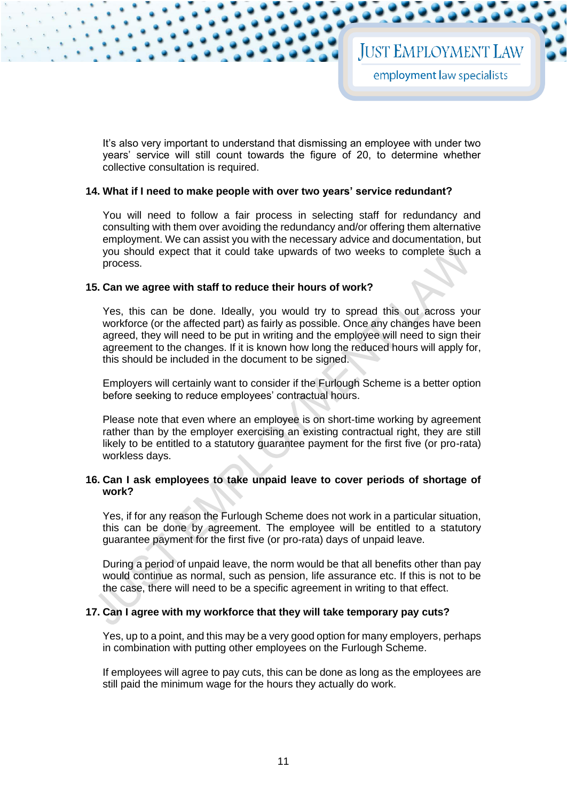It's also very important to understand that dismissing an employee with under two years' service will still count towards the figure of 20, to determine whether collective consultation is required.

#### **14. What if I need to make people with over two years' service redundant?**

You will need to follow a fair process in selecting staff for redundancy and consulting with them over avoiding the redundancy and/or offering them alternative employment. We can assist you with the necessary advice and documentation, but you should expect that it could take upwards of two weeks to complete such a process.

#### **15. Can we agree with staff to reduce their hours of work?**

Yes, this can be done. Ideally, you would try to spread this out across your workforce (or the affected part) as fairly as possible. Once any changes have been agreed, they will need to be put in writing and the employee will need to sign their agreement to the changes. If it is known how long the reduced hours will apply for, this should be included in the document to be signed.

Employers will certainly want to consider if the Furlough Scheme is a better option before seeking to reduce employees' contractual hours.

Please note that even where an employee is on short-time working by agreement rather than by the employer exercising an existing contractual right, they are still likely to be entitled to a statutory guarantee payment for the first five (or pro-rata) workless days.

#### **16. Can I ask employees to take unpaid leave to cover periods of shortage of work?**

Yes, if for any reason the Furlough Scheme does not work in a particular situation, this can be done by agreement. The employee will be entitled to a statutory guarantee payment for the first five (or pro-rata) days of unpaid leave.

During a period of unpaid leave, the norm would be that all benefits other than pay would continue as normal, such as pension, life assurance etc. If this is not to be the case, there will need to be a specific agreement in writing to that effect.

#### **17. Can I agree with my workforce that they will take temporary pay cuts?**

Yes, up to a point, and this may be a very good option for many employers, perhaps in combination with putting other employees on the Furlough Scheme.

If employees will agree to pay cuts, this can be done as long as the employees are still paid the minimum wage for the hours they actually do work.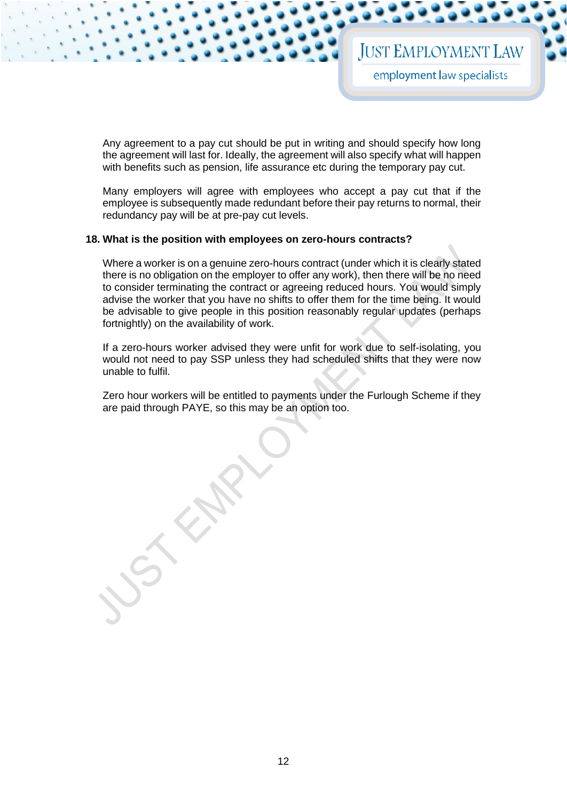Any agreement to a pay cut should be put in writing and should specify how long the agreement will last for. Ideally, the agreement will also specify what will happen with benefits such as pension, life assurance etc during the temporary pay cut.

Many employers will agree with employees who accept a pay cut that if the employee is subsequently made redundant before their pay returns to normal, their redundancy pay will be at pre-pay cut levels.

#### **18. What is the position with employees on zero-hours contracts?**

Where a worker is on a genuine zero-hours contract (under which it is clearly stated there is no obligation on the employer to offer any work), then there will be no need to consider terminating the contract or agreeing reduced hours. You would simply advise the worker that you have no shifts to offer them for the time being. It would be advisable to give people in this position reasonably regular updates (perhaps fortnightly) on the availability of work.

If a zero-hours worker advised they were unfit for work due to self-isolating, you would not need to pay SSP unless they had scheduled shifts that they were now unable to fulfil.

Zero hour workers will be entitled to payments under the Furlough Scheme if they are paid through PAYE, so this may be an option too.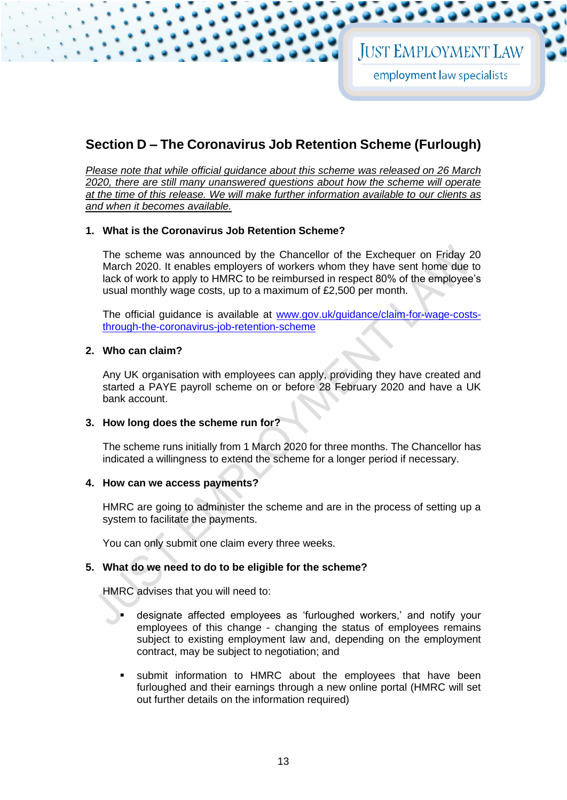## **Section D – The Coronavirus Job Retention Scheme (Furlough)**

*Please note that while official guidance about this scheme was released on 26 March 2020, there are still many unanswered questions about how the scheme will operate at the time of this release. We will make further information available to our clients as and when it becomes available.* 

#### **1. What is the Coronavirus Job Retention Scheme?**

The scheme was announced by the Chancellor of the Exchequer on Friday 20 March 2020. It enables employers of workers whom they have sent home due to lack of work to apply to HMRC to be reimbursed in respect 80% of the employee's usual monthly wage costs, up to a maximum of £2,500 per month.

The official guidance is available at [www.gov.uk/guidance/claim-for-wage-costs](http://www.gov.uk/guidance/claim-for-wage-costs-through-the-coronavirus-job-retention-scheme)[through-the-coronavirus-job-retention-scheme](http://www.gov.uk/guidance/claim-for-wage-costs-through-the-coronavirus-job-retention-scheme)

#### **2. Who can claim?**

Any UK organisation with employees can apply, providing they have created and started a PAYE payroll scheme on or before 28 February 2020 and have a UK bank account.

#### **3. How long does the scheme run for?**

The scheme runs initially from 1 March 2020 for three months. The Chancellor has indicated a willingness to extend the scheme for a longer period if necessary.

#### **4. How can we access payments?**

HMRC are going to administer the scheme and are in the process of setting up a system to facilitate the payments.

You can only submit one claim every three weeks.

#### **5. What do we need to do to be eligible for the scheme?**

HMRC advises that you will need to:

- designate affected employees as 'furloughed workers,' and notify your employees of this change - changing the status of employees remains subject to existing employment law and, depending on the employment contract, may be subject to negotiation; and
- submit information to HMRC about the employees that have been furloughed and their earnings through a new online portal (HMRC will set out further details on the information required)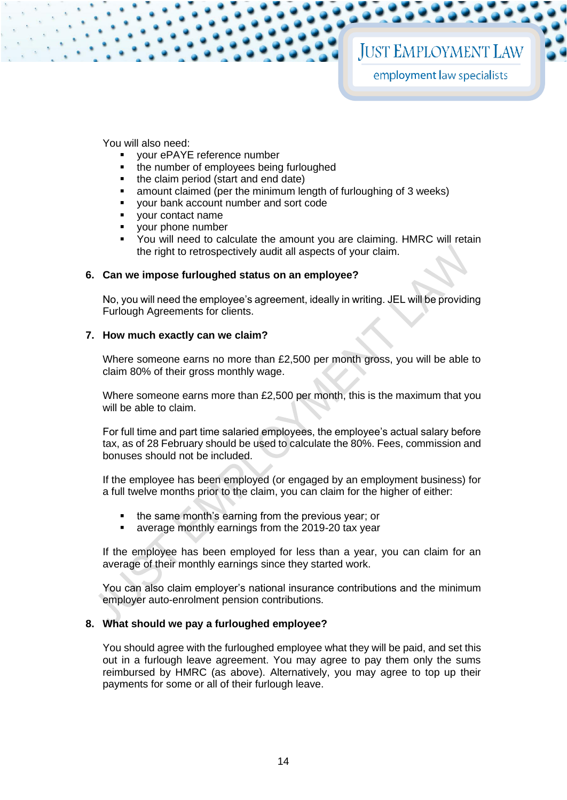## **JUST EMPLOYMENT LAW**

employment law specialists

You will also need:

- vour ePAYE reference number
- the number of employees being furloughed
- the claim period (start and end date)
- amount claimed (per the minimum length of furloughing of 3 weeks)
- your bank account number and sort code
- your contact name
- your phone number
- You will need to calculate the amount you are claiming. HMRC will retain the right to retrospectively audit all aspects of your claim.

#### **6. Can we impose furloughed status on an employee?**

No, you will need the employee's agreement, ideally in writing. JEL will be providing Furlough Agreements for clients.

#### **7. How much exactly can we claim?**

Where someone earns no more than £2,500 per month gross, you will be able to claim 80% of their gross monthly wage.

Where someone earns more than £2,500 per month, this is the maximum that you will be able to claim.

For full time and part time salaried employees, the employee's actual salary before tax, as of 28 February should be used to calculate the 80%. Fees, commission and bonuses should not be included.

If the employee has been employed (or engaged by an employment business) for a full twelve months prior to the claim, you can claim for the higher of either:

- the same month's earning from the previous year; or
- average monthly earnings from the 2019-20 tax year

If the employee has been employed for less than a year, you can claim for an average of their monthly earnings since they started work.

You can also claim employer's national insurance contributions and the minimum employer auto-enrolment pension contributions.

#### **8. What should we pay a furloughed employee?**

You should agree with the furloughed employee what they will be paid, and set this out in a furlough leave agreement. You may agree to pay them only the sums reimbursed by HMRC (as above). Alternatively, you may agree to top up their payments for some or all of their furlough leave.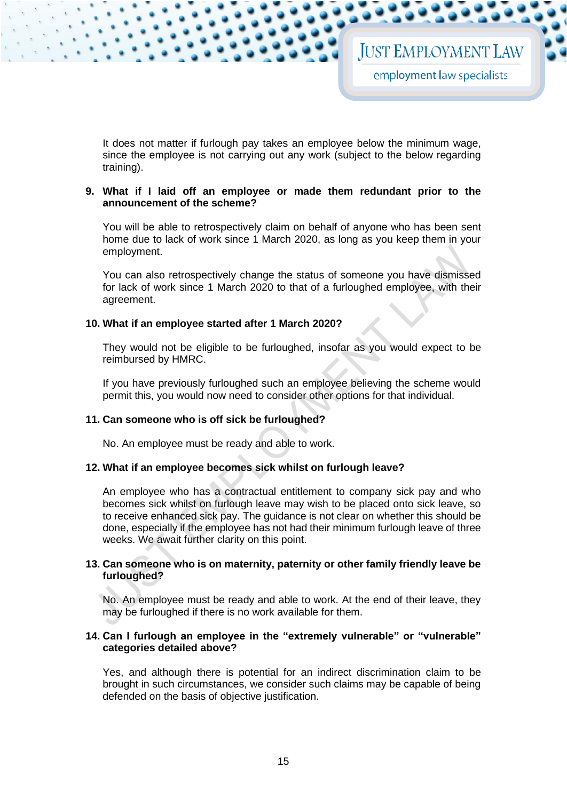It does not matter if furlough pay takes an employee below the minimum wage, since the employee is not carrying out any work (subject to the below regarding training).

#### **9. What if I laid off an employee or made them redundant prior to the announcement of the scheme?**

You will be able to retrospectively claim on behalf of anyone who has been sent home due to lack of work since 1 March 2020, as long as you keep them in your employment.

You can also retrospectively change the status of someone you have dismissed for lack of work since 1 March 2020 to that of a furloughed employee, with their agreement.

#### **10. What if an employee started after 1 March 2020?**

They would not be eligible to be furloughed, insofar as you would expect to be reimbursed by HMRC.

If you have previously furloughed such an employee believing the scheme would permit this, you would now need to consider other options for that individual.

#### **11. Can someone who is off sick be furloughed?**

No. An employee must be ready and able to work.

#### **12. What if an employee becomes sick whilst on furlough leave?**

An employee who has a contractual entitlement to company sick pay and who becomes sick whilst on furlough leave may wish to be placed onto sick leave, so to receive enhanced sick pay. The guidance is not clear on whether this should be done, especially if the employee has not had their minimum furlough leave of three weeks. We await further clarity on this point.

#### **13. Can someone who is on maternity, paternity or other family friendly leave be furloughed?**

No. An employee must be ready and able to work. At the end of their leave, they may be furloughed if there is no work available for them.

#### **14. Can I furlough an employee in the "extremely vulnerable" or "vulnerable" categories detailed above?**

Yes, and although there is potential for an indirect discrimination claim to be brought in such circumstances, we consider such claims may be capable of being defended on the basis of objective justification.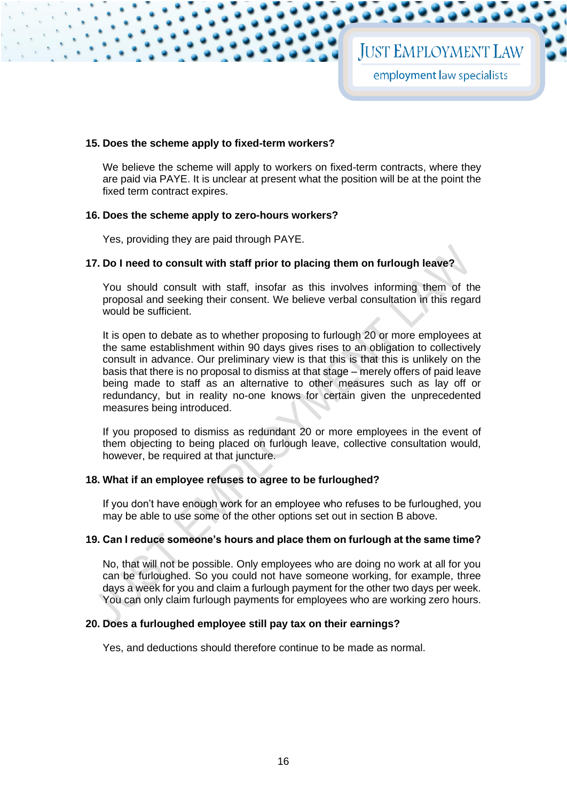#### **15. Does the scheme apply to fixed-term workers?**

We believe the scheme will apply to workers on fixed-term contracts, where they are paid via PAYE. It is unclear at present what the position will be at the point the fixed term contract expires.

#### **16. Does the scheme apply to zero-hours workers?**

Yes, providing they are paid through PAYE.

#### **17. Do I need to consult with staff prior to placing them on furlough leave?**

You should consult with staff, insofar as this involves informing them of the proposal and seeking their consent. We believe verbal consultation in this regard would be sufficient.

It is open to debate as to whether proposing to furlough 20 or more employees at the same establishment within 90 days gives rises to an obligation to collectively consult in advance. Our preliminary view is that this is that this is unlikely on the basis that there is no proposal to dismiss at that stage – merely offers of paid leave being made to staff as an alternative to other measures such as lay off or redundancy, but in reality no-one knows for certain given the unprecedented measures being introduced.

If you proposed to dismiss as redundant 20 or more employees in the event of them objecting to being placed on furlough leave, collective consultation would, however, be required at that juncture.

#### **18. What if an employee refuses to agree to be furloughed?**

If you don't have enough work for an employee who refuses to be furloughed, you may be able to use some of the other options set out in section B above.

#### **19. Can I reduce someone's hours and place them on furlough at the same time?**

No, that will not be possible. Only employees who are doing no work at all for you can be furloughed. So you could not have someone working, for example, three days a week for you and claim a furlough payment for the other two days per week. You can only claim furlough payments for employees who are working zero hours.

#### **20. Does a furloughed employee still pay tax on their earnings?**

Yes, and deductions should therefore continue to be made as normal.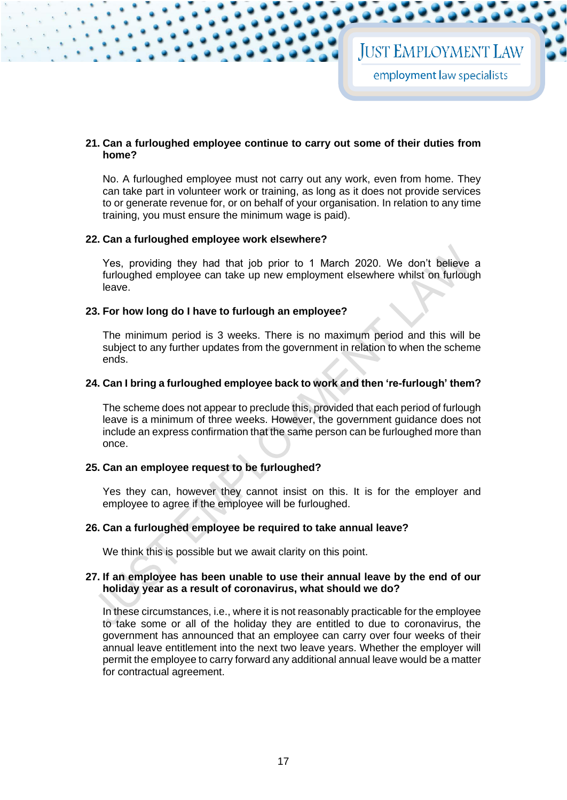#### **21. Can a furloughed employee continue to carry out some of their duties from home?**

No. A furloughed employee must not carry out any work, even from home. They can take part in volunteer work or training, as long as it does not provide services to or generate revenue for, or on behalf of your organisation. In relation to any time training, you must ensure the minimum wage is paid).

#### **22. Can a furloughed employee work elsewhere?**

Yes, providing they had that job prior to 1 March 2020. We don't believe a furloughed employee can take up new employment elsewhere whilst on furlough leave.

#### **23. For how long do I have to furlough an employee?**

The minimum period is 3 weeks. There is no maximum period and this will be subject to any further updates from the government in relation to when the scheme ends.

#### **24. Can I bring a furloughed employee back to work and then 're-furlough' them?**

The scheme does not appear to preclude this, provided that each period of furlough leave is a minimum of three weeks. However, the government guidance does not include an express confirmation that the same person can be furloughed more than once.

#### **25. Can an employee request to be furloughed?**

Yes they can, however they cannot insist on this. It is for the employer and employee to agree if the employee will be furloughed.

#### **26. Can a furloughed employee be required to take annual leave?**

We think this is possible but we await clarity on this point.

#### **27. If an employee has been unable to use their annual leave by the end of our holiday year as a result of coronavirus, what should we do?**

In these circumstances, i.e., where it is not reasonably practicable for the employee to take some or all of the holiday they are entitled to due to coronavirus, the government has announced that an employee can carry over four weeks of their annual leave entitlement into the next two leave years. Whether the employer will permit the employee to carry forward any additional annual leave would be a matter for contractual agreement.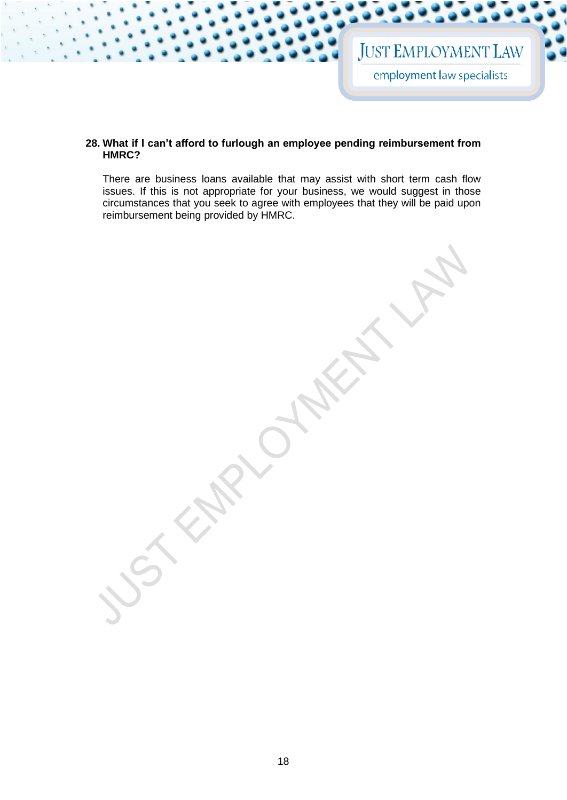#### **28. What if I can't afford to furlough an employee pending reimbursement from HMRC?**

There are business loans available that may assist with short term cash flow issues. If this is not appropriate for your business, we would suggest in those circumstances that you seek to agree with employees that they will be paid upon reimbursement being provided by HMRC.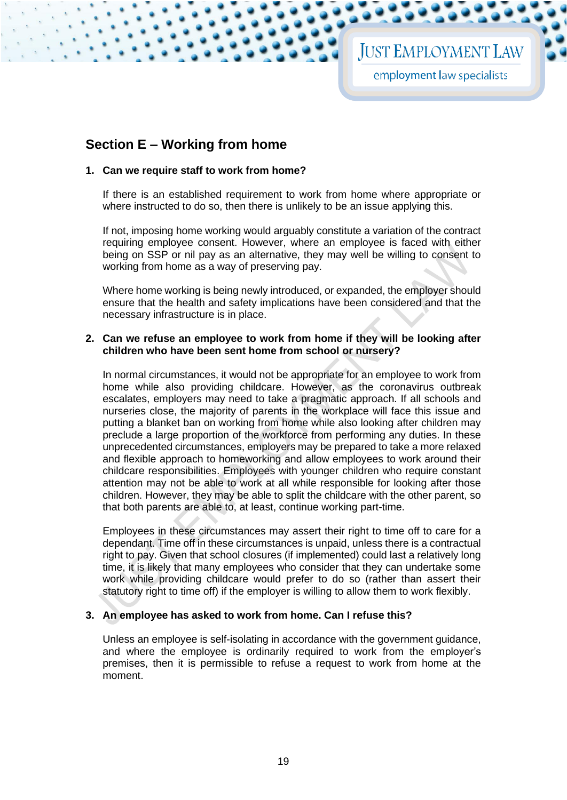## **JUST EMPLOYMENT LAW**

employment law specialists

## **Section E – Working from home**

#### **1. Can we require staff to work from home?**

If there is an established requirement to work from home where appropriate or where instructed to do so, then there is unlikely to be an issue applying this.

If not, imposing home working would arguably constitute a variation of the contract requiring employee consent. However, where an employee is faced with either being on SSP or nil pay as an alternative, they may well be willing to consent to working from home as a way of preserving pay.

Where home working is being newly introduced, or expanded, the employer should ensure that the health and safety implications have been considered and that the necessary infrastructure is in place.

#### **2. Can we refuse an employee to work from home if they will be looking after children who have been sent home from school or nursery?**

In normal circumstances, it would not be appropriate for an employee to work from home while also providing childcare. However, as the coronavirus outbreak escalates, employers may need to take a pragmatic approach. If all schools and nurseries close, the majority of parents in the workplace will face this issue and putting a blanket ban on working from home while also looking after children may preclude a large proportion of the workforce from performing any duties. In these unprecedented circumstances, employers may be prepared to take a more relaxed and flexible approach to homeworking and allow employees to work around their childcare responsibilities. Employees with younger children who require constant attention may not be able to work at all while responsible for looking after those children. However, they may be able to split the childcare with the other parent, so that both parents are able to, at least, continue working part-time.

Employees in these circumstances may assert their right to time off to care for a dependant. Time off in these circumstances is unpaid, unless there is a contractual right to pay. Given that school closures (if implemented) could last a relatively long time, it is likely that many employees who consider that they can undertake some work while providing childcare would prefer to do so (rather than assert their statutory right to time off) if the employer is willing to allow them to work flexibly.

#### **3. An employee has asked to work from home. Can I refuse this?**

Unless an employee is self-isolating in accordance with the government guidance, and where the employee is ordinarily required to work from the employer's premises, then it is permissible to refuse a request to work from home at the moment.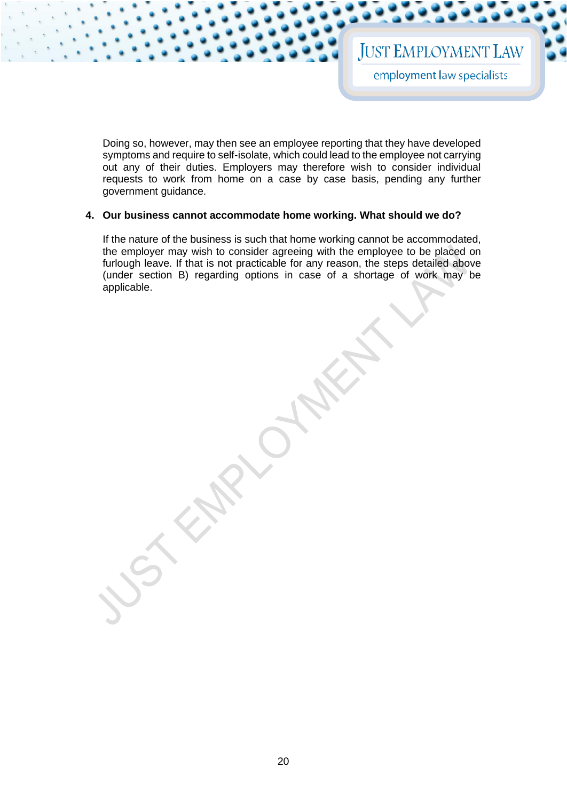Doing so, however, may then see an employee reporting that they have developed symptoms and require to self-isolate, which could lead to the employee not carrying out any of their duties. Employers may therefore wish to consider individual requests to work from home on a case by case basis, pending any further government guidance.

#### **4. Our business cannot accommodate home working. What should we do?**

If the nature of the business is such that home working cannot be accommodated, the employer may wish to consider agreeing with the employee to be placed on furlough leave. If that is not practicable for any reason, the steps detailed above (under section B) regarding options in case of a shortage of work may be applicable.